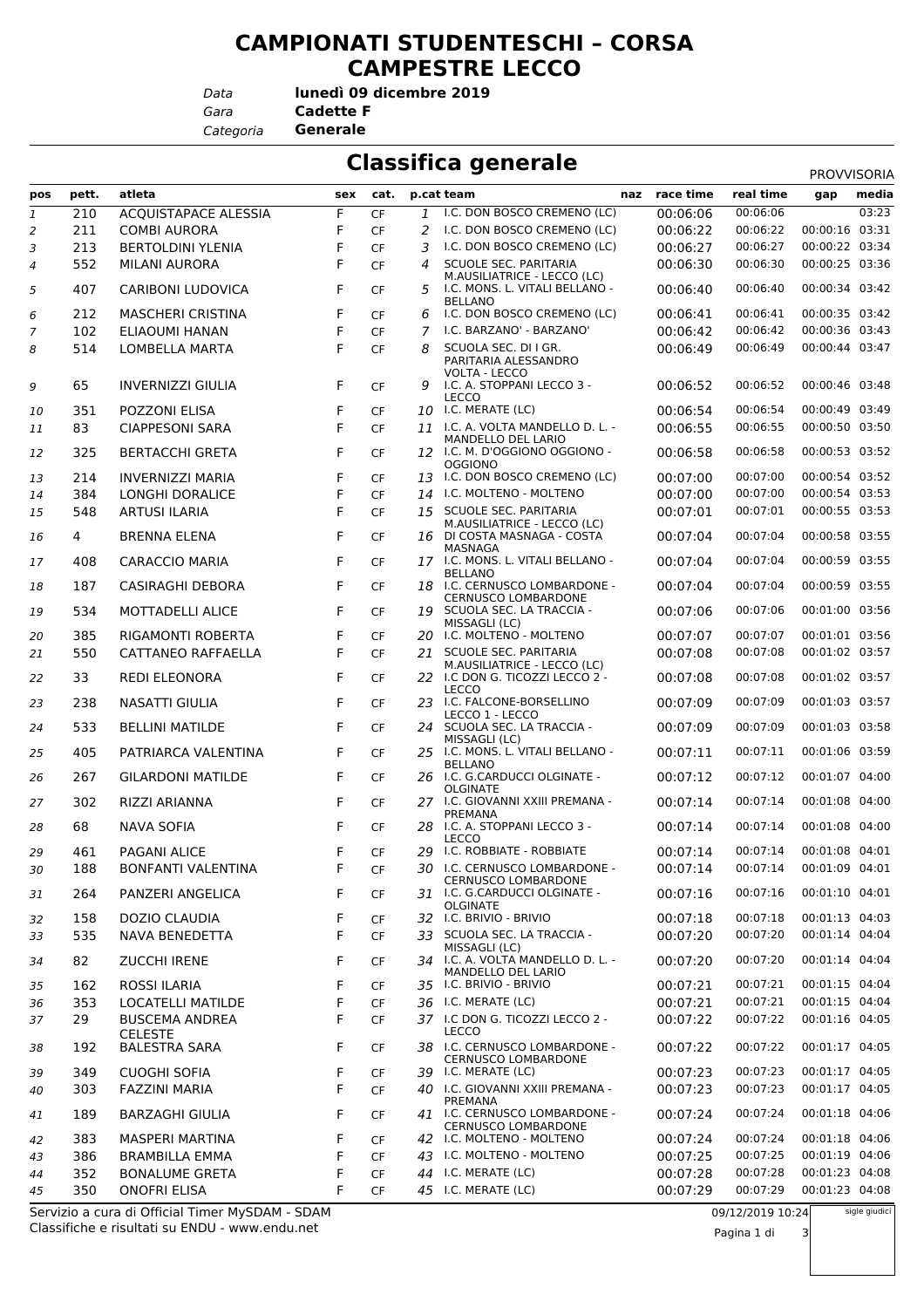## **CAMPIONATI STUDENTESCHI – CORSA CAMPESTRE LECCO**

*Data*

*Gara* **Cadette F lunedì 09 dicembre 2019**

*Categoria* **Generale**

## **Classifica generale** PROVISOR

| atleta<br>naz race time<br>real time<br>pett.<br>sex<br>cat.<br>p.cat team<br>pos<br>gap<br>I.C. DON BOSCO CREMENO (LC)<br>00:06:06<br>F<br>210<br><b>ACQUISTAPACE ALESSIA</b><br>CF<br>00:06:06<br>$\mathbf{1}$<br>1<br>I.C. DON BOSCO CREMENO (LC)<br>00:06:22<br>211<br><b>COMBI AURORA</b><br>F<br>CF<br>00:06:22<br>2<br>2<br>F<br>3<br>213<br><b>BERTOLDINI YLENIA</b><br><b>CF</b><br>3<br>I.C. DON BOSCO CREMENO (LC)<br>00:06:27<br>00:06:27<br>552<br>F<br><b>SCUOLE SEC. PARITARIA</b><br>00:06:30<br><b>MILANI AURORA</b><br><b>CF</b><br>00:06:30<br>$\overline{4}$<br>4<br>M.AUSILIATRICE - LECCO (LC)<br>F<br>407<br><b>CARIBONI LUDOVICA</b><br>I.C. MONS. L. VITALI BELLANO -<br>00:06:40<br>00:06:40<br>5<br>CF<br>5<br><b>BELLANO</b><br>212<br>F<br>I.C. DON BOSCO CREMENO (LC)<br>00:06:41<br>6<br><b>MASCHERI CRISTINA</b><br>CF<br>00:06:41<br>6<br>F<br>102<br><b>ELIAOUMI HANAN</b><br>I.C. BARZANO' - BARZANO'<br>00:06:42<br>00:06:42<br><b>CF</b><br>7<br>7<br>F<br>00:06:49<br>514<br><b>LOMBELLA MARTA</b><br><b>CF</b><br>SCUOLA SEC. DI I GR.<br>00:06:49<br>8<br>8<br>PARITARIA ALESSANDRO<br>VOLTA - LECCO<br>65<br>F<br>I.C. A. STOPPANI LECCO 3 -<br>00:06:52<br>9<br><b>INVERNIZZI GIULIA</b><br><b>CF</b><br>00:06:52<br>9<br><b>LECCO</b><br>F<br>10 I.C. MERATE (LC)<br>00:06:54<br>00:06:54<br>351<br>POZZONI ELISA<br><b>CF</b><br>10<br>00:06:55<br>83<br><b>CIAPPESONI SARA</b><br>F<br><b>CF</b><br>11 I.C. A. VOLTA MANDELLO D. L. -<br>00:06:55<br>11<br>MANDELLO DEL LARIO<br>F<br>12 I.C. M. D'OGGIONO OGGIONO -<br>00:06:58<br>325<br><b>BERTACCHI GRETA</b><br>00:06:58<br><b>CF</b><br>12<br><b>OGGIONO</b><br><b>INVERNIZZI MARIA</b><br>F<br>13 I.C. DON BOSCO CREMENO (LC)<br>00:07:00<br>00:07:00<br>214<br><b>CF</b><br>13<br>F<br>00:07:00<br>00:07:00<br>384<br><b>LONGHI DORALICE</b><br>14 I.C. MOLTENO - MOLTENO<br><b>CF</b><br>14<br>F<br>00:07:01<br>548<br><b>ARTUSI ILARIA</b><br>15 SCUOLE SEC. PARITARIA<br>00:07:01<br><b>CF</b><br>15<br>M.AUSILIATRICE - LECCO (LC)<br>F<br>16 DI COSTA MASNAGA - COSTA<br>00:07:04<br>4<br><b>BRENNA ELENA</b><br>00:07:04<br><b>CF</b><br>16<br>MASNAGA<br>F<br>17 I.C. MONS. L. VITALI BELLANO -<br>00:07:04<br>00:07:04<br>408<br><b>CARACCIO MARIA</b><br>CF<br>17<br><b>BELLANO</b><br>00:07:04<br>F<br>18 I.C. CERNUSCO LOMBARDONE -<br>00:07:04<br>187<br><b>CASIRAGHI DEBORA</b><br>CF<br>18<br><b>CERNUSCO LOMBARDONE</b><br>F<br>534<br>19 SCUOLA SEC. LA TRACCIA -<br>MOTTADELLI ALICE<br>00:07:06<br>00:07:06<br><b>CF</b><br>19<br>MISSAGLI (LC)<br>RIGAMONTI ROBERTA<br>F<br>20 I.C. MOLTENO - MOLTENO<br>00:07:07<br>00:07:07<br>385<br><b>CF</b><br>20<br>F<br>550<br>CATTANEO RAFFAELLA<br>21 SCUOLE SEC. PARITARIA<br>00:07:08<br>00:07:08<br><b>CF</b><br>21<br>M.AUSILIATRICE - LECCO (LC)<br>33<br>F<br>22 I.C DON G. TICOZZI LECCO 2 -<br>00:07:08<br><b>REDI ELEONORA</b><br>CF<br>00:07:08<br>22<br>LECCO<br>I.C. FALCONE-BORSELLINO<br>00:07:09<br>F<br>238<br>NASATTI GIULIA<br><b>CF</b><br>23<br>00:07:09<br>23<br>LECCO 1 - LECCO<br>24 SCUOLA SEC. LA TRACCIA -<br>00:07:09<br>F<br>00:07:09<br>533<br><b>BELLINI MATILDE</b><br><b>CF</b><br>24<br>MISSAGLI (LC)<br>F<br>25 I.C. MONS. L. VITALI BELLANO -<br>00:07:11<br>00:07:11<br>405<br>PATRIARCA VALENTINA<br>CF<br>25<br><b>BELLANO</b><br>26 I.C. G.CARDUCCI OLGINATE -<br>00:07:12<br>F<br>00:07:12<br>267<br><b>GILARDONI MATILDE</b><br><b>CF</b><br>26<br><b>OLGINATE</b><br>27 I.C. GIOVANNI XXIII PREMANA -<br>00:07:14<br>F<br>00:07:14<br>302<br>RIZZI ARIANNA<br><b>CF</b><br>27<br>PREMANA<br>F<br>28 I.C. A. STOPPANI LECCO 3 -<br>00:07:14<br>00:07:14<br>68<br>NAVA SOFIA<br>CF<br>28<br><b>LECCO</b><br>29 I.C. ROBBIATE - ROBBIATE<br>00:07:14<br>PAGANI ALICE<br>F<br>00:07:14<br>461<br><b>CF</b><br>29<br>30 I.C. CERNUSCO LOMBARDONE -<br>188<br>BONFANTI VALENTINA<br>F<br>00:07:14<br>00:07:14<br>CF<br>30<br><b>CERNUSCO LOMBARDONE</b><br>31 I.C. G.CARDUCCI OLGINATE -<br>00:07:16<br>PANZERI ANGELICA<br>F<br>CF<br>00:07:16<br>264<br>31<br>OLGINATE<br>32 I.C. BRIVIO - BRIVIO<br>00:07:18<br>F<br>158<br>DOZIO CLAUDIA<br>CF<br>00:07:18<br>32<br>33 SCUOLA SEC. LA TRACCIA -<br>00:07:20<br>F<br>00:07:20<br>535<br>NAVA BENEDETTA<br><b>CF</b><br>33<br>MISSAGLI (LC)<br>34 I.C. A. VOLTA MANDELLO D. L. -<br>00:07:20<br>82<br><b>ZUCCHI IRENE</b><br>F<br>00:07:20<br>CF<br>34<br>MANDELLO DEL LARIO<br>35 I.C. BRIVIO - BRIVIO<br>162<br>ROSSI ILARIA<br>F<br>00:07:21<br>00:07:21<br>CF<br>35<br>F<br>36 I.C. MERATE (LC)<br>00:07:21<br>353<br>00:07:21<br>LOCATELLI MATILDE<br><b>CF</b><br>36<br>F<br>29<br>37 I.C DON G. TICOZZI LECCO 2 -<br>00:07:22<br>00:07:22<br><b>BUSCEMA ANDREA</b><br><b>CF</b><br>37<br>LECCO<br><b>CELESTE</b><br>F<br>38 I.C. CERNUSCO LOMBARDONE -<br>192<br><b>BALESTRA SARA</b><br>CF<br>00:07:22<br>00:07:22<br>38<br><b>CERNUSCO LOMBARDONE</b><br>00:07:23<br>39 I.C. MERATE (LC)<br>349<br><b>CUOGHI SOFIA</b><br>F<br>00:07:23<br>39<br>CF<br>F<br>40 I.C. GIOVANNI XXIII PREMANA -<br>00:07:23<br>00:07:23<br>303<br>FAZZINI MARIA<br>CF<br>40<br>PREMANA<br>41 I.C. CERNUSCO LOMBARDONE -<br>00:07:24<br>189<br><b>BARZAGHI GIULIA</b><br>F<br>00:07:24<br>CF<br>41<br><b>CERNUSCO LOMBARDONE</b><br>F<br>42 I.C. MOLTENO - MOLTENO<br>00:07:24<br>383<br>MASPERI MARTINA<br>00:07:24<br>CF<br>42<br>43 I.C. MOLTENO - MOLTENO<br>00:07:25<br>F<br>00:07:25<br>386<br><b>BRAMBILLA EMMA</b><br><b>CF</b><br>43 | <b>PROVVISORIA</b>               |
|--------------------------------------------------------------------------------------------------------------------------------------------------------------------------------------------------------------------------------------------------------------------------------------------------------------------------------------------------------------------------------------------------------------------------------------------------------------------------------------------------------------------------------------------------------------------------------------------------------------------------------------------------------------------------------------------------------------------------------------------------------------------------------------------------------------------------------------------------------------------------------------------------------------------------------------------------------------------------------------------------------------------------------------------------------------------------------------------------------------------------------------------------------------------------------------------------------------------------------------------------------------------------------------------------------------------------------------------------------------------------------------------------------------------------------------------------------------------------------------------------------------------------------------------------------------------------------------------------------------------------------------------------------------------------------------------------------------------------------------------------------------------------------------------------------------------------------------------------------------------------------------------------------------------------------------------------------------------------------------------------------------------------------------------------------------------------------------------------------------------------------------------------------------------------------------------------------------------------------------------------------------------------------------------------------------------------------------------------------------------------------------------------------------------------------------------------------------------------------------------------------------------------------------------------------------------------------------------------------------------------------------------------------------------------------------------------------------------------------------------------------------------------------------------------------------------------------------------------------------------------------------------------------------------------------------------------------------------------------------------------------------------------------------------------------------------------------------------------------------------------------------------------------------------------------------------------------------------------------------------------------------------------------------------------------------------------------------------------------------------------------------------------------------------------------------------------------------------------------------------------------------------------------------------------------------------------------------------------------------------------------------------------------------------------------------------------------------------------------------------------------------------------------------------------------------------------------------------------------------------------------------------------------------------------------------------------------------------------------------------------------------------------------------------------------------------------------------------------------------------------------------------------------------------------------------------------------------------------------------------------------------------------------------------------------------------------------------------------------------------------------------------------------------------------------------------------------------------------------------------------------------------------------------------------------------------------------------------------------------------------------------------------------------------------------------------------------------------------------------------------------------------------------------------------------------------------------------------------------------------------------------------------------------------------------------------------------------------------------------------------------------------------------------------------------------------------------------------------------------------------------------------------------------------------------------------------------------------------------------------------------------------------------------------------------------------------------------------------------------------------------------------------------------------------------------------------------------------------------------------|----------------------------------|
|                                                                                                                                                                                                                                                                                                                                                                                                                                                                                                                                                                                                                                                                                                                                                                                                                                                                                                                                                                                                                                                                                                                                                                                                                                                                                                                                                                                                                                                                                                                                                                                                                                                                                                                                                                                                                                                                                                                                                                                                                                                                                                                                                                                                                                                                                                                                                                                                                                                                                                                                                                                                                                                                                                                                                                                                                                                                                                                                                                                                                                                                                                                                                                                                                                                                                                                                                                                                                                                                                                                                                                                                                                                                                                                                                                                                                                                                                                                                                                                                                                                                                                                                                                                                                                                                                                                                                                                                                                                                                                                                                                                                                                                                                                                                                                                                                                                                                                                                                                                                                                                                                                                                                                                                                                                                                                                                                                                                                                                                                            | media                            |
|                                                                                                                                                                                                                                                                                                                                                                                                                                                                                                                                                                                                                                                                                                                                                                                                                                                                                                                                                                                                                                                                                                                                                                                                                                                                                                                                                                                                                                                                                                                                                                                                                                                                                                                                                                                                                                                                                                                                                                                                                                                                                                                                                                                                                                                                                                                                                                                                                                                                                                                                                                                                                                                                                                                                                                                                                                                                                                                                                                                                                                                                                                                                                                                                                                                                                                                                                                                                                                                                                                                                                                                                                                                                                                                                                                                                                                                                                                                                                                                                                                                                                                                                                                                                                                                                                                                                                                                                                                                                                                                                                                                                                                                                                                                                                                                                                                                                                                                                                                                                                                                                                                                                                                                                                                                                                                                                                                                                                                                                                            | 03:23                            |
|                                                                                                                                                                                                                                                                                                                                                                                                                                                                                                                                                                                                                                                                                                                                                                                                                                                                                                                                                                                                                                                                                                                                                                                                                                                                                                                                                                                                                                                                                                                                                                                                                                                                                                                                                                                                                                                                                                                                                                                                                                                                                                                                                                                                                                                                                                                                                                                                                                                                                                                                                                                                                                                                                                                                                                                                                                                                                                                                                                                                                                                                                                                                                                                                                                                                                                                                                                                                                                                                                                                                                                                                                                                                                                                                                                                                                                                                                                                                                                                                                                                                                                                                                                                                                                                                                                                                                                                                                                                                                                                                                                                                                                                                                                                                                                                                                                                                                                                                                                                                                                                                                                                                                                                                                                                                                                                                                                                                                                                                                            | 00:00:16 03:31                   |
|                                                                                                                                                                                                                                                                                                                                                                                                                                                                                                                                                                                                                                                                                                                                                                                                                                                                                                                                                                                                                                                                                                                                                                                                                                                                                                                                                                                                                                                                                                                                                                                                                                                                                                                                                                                                                                                                                                                                                                                                                                                                                                                                                                                                                                                                                                                                                                                                                                                                                                                                                                                                                                                                                                                                                                                                                                                                                                                                                                                                                                                                                                                                                                                                                                                                                                                                                                                                                                                                                                                                                                                                                                                                                                                                                                                                                                                                                                                                                                                                                                                                                                                                                                                                                                                                                                                                                                                                                                                                                                                                                                                                                                                                                                                                                                                                                                                                                                                                                                                                                                                                                                                                                                                                                                                                                                                                                                                                                                                                                            | 00:00:22 03:34<br>00:00:25 03:36 |
|                                                                                                                                                                                                                                                                                                                                                                                                                                                                                                                                                                                                                                                                                                                                                                                                                                                                                                                                                                                                                                                                                                                                                                                                                                                                                                                                                                                                                                                                                                                                                                                                                                                                                                                                                                                                                                                                                                                                                                                                                                                                                                                                                                                                                                                                                                                                                                                                                                                                                                                                                                                                                                                                                                                                                                                                                                                                                                                                                                                                                                                                                                                                                                                                                                                                                                                                                                                                                                                                                                                                                                                                                                                                                                                                                                                                                                                                                                                                                                                                                                                                                                                                                                                                                                                                                                                                                                                                                                                                                                                                                                                                                                                                                                                                                                                                                                                                                                                                                                                                                                                                                                                                                                                                                                                                                                                                                                                                                                                                                            |                                  |
|                                                                                                                                                                                                                                                                                                                                                                                                                                                                                                                                                                                                                                                                                                                                                                                                                                                                                                                                                                                                                                                                                                                                                                                                                                                                                                                                                                                                                                                                                                                                                                                                                                                                                                                                                                                                                                                                                                                                                                                                                                                                                                                                                                                                                                                                                                                                                                                                                                                                                                                                                                                                                                                                                                                                                                                                                                                                                                                                                                                                                                                                                                                                                                                                                                                                                                                                                                                                                                                                                                                                                                                                                                                                                                                                                                                                                                                                                                                                                                                                                                                                                                                                                                                                                                                                                                                                                                                                                                                                                                                                                                                                                                                                                                                                                                                                                                                                                                                                                                                                                                                                                                                                                                                                                                                                                                                                                                                                                                                                                            | 00:00:34 03:42                   |
|                                                                                                                                                                                                                                                                                                                                                                                                                                                                                                                                                                                                                                                                                                                                                                                                                                                                                                                                                                                                                                                                                                                                                                                                                                                                                                                                                                                                                                                                                                                                                                                                                                                                                                                                                                                                                                                                                                                                                                                                                                                                                                                                                                                                                                                                                                                                                                                                                                                                                                                                                                                                                                                                                                                                                                                                                                                                                                                                                                                                                                                                                                                                                                                                                                                                                                                                                                                                                                                                                                                                                                                                                                                                                                                                                                                                                                                                                                                                                                                                                                                                                                                                                                                                                                                                                                                                                                                                                                                                                                                                                                                                                                                                                                                                                                                                                                                                                                                                                                                                                                                                                                                                                                                                                                                                                                                                                                                                                                                                                            | 00:00:35 03:42                   |
|                                                                                                                                                                                                                                                                                                                                                                                                                                                                                                                                                                                                                                                                                                                                                                                                                                                                                                                                                                                                                                                                                                                                                                                                                                                                                                                                                                                                                                                                                                                                                                                                                                                                                                                                                                                                                                                                                                                                                                                                                                                                                                                                                                                                                                                                                                                                                                                                                                                                                                                                                                                                                                                                                                                                                                                                                                                                                                                                                                                                                                                                                                                                                                                                                                                                                                                                                                                                                                                                                                                                                                                                                                                                                                                                                                                                                                                                                                                                                                                                                                                                                                                                                                                                                                                                                                                                                                                                                                                                                                                                                                                                                                                                                                                                                                                                                                                                                                                                                                                                                                                                                                                                                                                                                                                                                                                                                                                                                                                                                            | 00:00:36 03:43                   |
|                                                                                                                                                                                                                                                                                                                                                                                                                                                                                                                                                                                                                                                                                                                                                                                                                                                                                                                                                                                                                                                                                                                                                                                                                                                                                                                                                                                                                                                                                                                                                                                                                                                                                                                                                                                                                                                                                                                                                                                                                                                                                                                                                                                                                                                                                                                                                                                                                                                                                                                                                                                                                                                                                                                                                                                                                                                                                                                                                                                                                                                                                                                                                                                                                                                                                                                                                                                                                                                                                                                                                                                                                                                                                                                                                                                                                                                                                                                                                                                                                                                                                                                                                                                                                                                                                                                                                                                                                                                                                                                                                                                                                                                                                                                                                                                                                                                                                                                                                                                                                                                                                                                                                                                                                                                                                                                                                                                                                                                                                            | 00:00:44 03:47                   |
|                                                                                                                                                                                                                                                                                                                                                                                                                                                                                                                                                                                                                                                                                                                                                                                                                                                                                                                                                                                                                                                                                                                                                                                                                                                                                                                                                                                                                                                                                                                                                                                                                                                                                                                                                                                                                                                                                                                                                                                                                                                                                                                                                                                                                                                                                                                                                                                                                                                                                                                                                                                                                                                                                                                                                                                                                                                                                                                                                                                                                                                                                                                                                                                                                                                                                                                                                                                                                                                                                                                                                                                                                                                                                                                                                                                                                                                                                                                                                                                                                                                                                                                                                                                                                                                                                                                                                                                                                                                                                                                                                                                                                                                                                                                                                                                                                                                                                                                                                                                                                                                                                                                                                                                                                                                                                                                                                                                                                                                                                            | 00:00:46 03:48                   |
|                                                                                                                                                                                                                                                                                                                                                                                                                                                                                                                                                                                                                                                                                                                                                                                                                                                                                                                                                                                                                                                                                                                                                                                                                                                                                                                                                                                                                                                                                                                                                                                                                                                                                                                                                                                                                                                                                                                                                                                                                                                                                                                                                                                                                                                                                                                                                                                                                                                                                                                                                                                                                                                                                                                                                                                                                                                                                                                                                                                                                                                                                                                                                                                                                                                                                                                                                                                                                                                                                                                                                                                                                                                                                                                                                                                                                                                                                                                                                                                                                                                                                                                                                                                                                                                                                                                                                                                                                                                                                                                                                                                                                                                                                                                                                                                                                                                                                                                                                                                                                                                                                                                                                                                                                                                                                                                                                                                                                                                                                            | 00:00:49 03:49                   |
|                                                                                                                                                                                                                                                                                                                                                                                                                                                                                                                                                                                                                                                                                                                                                                                                                                                                                                                                                                                                                                                                                                                                                                                                                                                                                                                                                                                                                                                                                                                                                                                                                                                                                                                                                                                                                                                                                                                                                                                                                                                                                                                                                                                                                                                                                                                                                                                                                                                                                                                                                                                                                                                                                                                                                                                                                                                                                                                                                                                                                                                                                                                                                                                                                                                                                                                                                                                                                                                                                                                                                                                                                                                                                                                                                                                                                                                                                                                                                                                                                                                                                                                                                                                                                                                                                                                                                                                                                                                                                                                                                                                                                                                                                                                                                                                                                                                                                                                                                                                                                                                                                                                                                                                                                                                                                                                                                                                                                                                                                            | 00:00:50 03:50                   |
|                                                                                                                                                                                                                                                                                                                                                                                                                                                                                                                                                                                                                                                                                                                                                                                                                                                                                                                                                                                                                                                                                                                                                                                                                                                                                                                                                                                                                                                                                                                                                                                                                                                                                                                                                                                                                                                                                                                                                                                                                                                                                                                                                                                                                                                                                                                                                                                                                                                                                                                                                                                                                                                                                                                                                                                                                                                                                                                                                                                                                                                                                                                                                                                                                                                                                                                                                                                                                                                                                                                                                                                                                                                                                                                                                                                                                                                                                                                                                                                                                                                                                                                                                                                                                                                                                                                                                                                                                                                                                                                                                                                                                                                                                                                                                                                                                                                                                                                                                                                                                                                                                                                                                                                                                                                                                                                                                                                                                                                                                            | 00:00:53 03:52                   |
|                                                                                                                                                                                                                                                                                                                                                                                                                                                                                                                                                                                                                                                                                                                                                                                                                                                                                                                                                                                                                                                                                                                                                                                                                                                                                                                                                                                                                                                                                                                                                                                                                                                                                                                                                                                                                                                                                                                                                                                                                                                                                                                                                                                                                                                                                                                                                                                                                                                                                                                                                                                                                                                                                                                                                                                                                                                                                                                                                                                                                                                                                                                                                                                                                                                                                                                                                                                                                                                                                                                                                                                                                                                                                                                                                                                                                                                                                                                                                                                                                                                                                                                                                                                                                                                                                                                                                                                                                                                                                                                                                                                                                                                                                                                                                                                                                                                                                                                                                                                                                                                                                                                                                                                                                                                                                                                                                                                                                                                                                            | 00:00:54 03:52                   |
|                                                                                                                                                                                                                                                                                                                                                                                                                                                                                                                                                                                                                                                                                                                                                                                                                                                                                                                                                                                                                                                                                                                                                                                                                                                                                                                                                                                                                                                                                                                                                                                                                                                                                                                                                                                                                                                                                                                                                                                                                                                                                                                                                                                                                                                                                                                                                                                                                                                                                                                                                                                                                                                                                                                                                                                                                                                                                                                                                                                                                                                                                                                                                                                                                                                                                                                                                                                                                                                                                                                                                                                                                                                                                                                                                                                                                                                                                                                                                                                                                                                                                                                                                                                                                                                                                                                                                                                                                                                                                                                                                                                                                                                                                                                                                                                                                                                                                                                                                                                                                                                                                                                                                                                                                                                                                                                                                                                                                                                                                            | 00:00:54 03:53<br>00:00:55 03:53 |
|                                                                                                                                                                                                                                                                                                                                                                                                                                                                                                                                                                                                                                                                                                                                                                                                                                                                                                                                                                                                                                                                                                                                                                                                                                                                                                                                                                                                                                                                                                                                                                                                                                                                                                                                                                                                                                                                                                                                                                                                                                                                                                                                                                                                                                                                                                                                                                                                                                                                                                                                                                                                                                                                                                                                                                                                                                                                                                                                                                                                                                                                                                                                                                                                                                                                                                                                                                                                                                                                                                                                                                                                                                                                                                                                                                                                                                                                                                                                                                                                                                                                                                                                                                                                                                                                                                                                                                                                                                                                                                                                                                                                                                                                                                                                                                                                                                                                                                                                                                                                                                                                                                                                                                                                                                                                                                                                                                                                                                                                                            |                                  |
|                                                                                                                                                                                                                                                                                                                                                                                                                                                                                                                                                                                                                                                                                                                                                                                                                                                                                                                                                                                                                                                                                                                                                                                                                                                                                                                                                                                                                                                                                                                                                                                                                                                                                                                                                                                                                                                                                                                                                                                                                                                                                                                                                                                                                                                                                                                                                                                                                                                                                                                                                                                                                                                                                                                                                                                                                                                                                                                                                                                                                                                                                                                                                                                                                                                                                                                                                                                                                                                                                                                                                                                                                                                                                                                                                                                                                                                                                                                                                                                                                                                                                                                                                                                                                                                                                                                                                                                                                                                                                                                                                                                                                                                                                                                                                                                                                                                                                                                                                                                                                                                                                                                                                                                                                                                                                                                                                                                                                                                                                            | 00:00:58 03:55                   |
|                                                                                                                                                                                                                                                                                                                                                                                                                                                                                                                                                                                                                                                                                                                                                                                                                                                                                                                                                                                                                                                                                                                                                                                                                                                                                                                                                                                                                                                                                                                                                                                                                                                                                                                                                                                                                                                                                                                                                                                                                                                                                                                                                                                                                                                                                                                                                                                                                                                                                                                                                                                                                                                                                                                                                                                                                                                                                                                                                                                                                                                                                                                                                                                                                                                                                                                                                                                                                                                                                                                                                                                                                                                                                                                                                                                                                                                                                                                                                                                                                                                                                                                                                                                                                                                                                                                                                                                                                                                                                                                                                                                                                                                                                                                                                                                                                                                                                                                                                                                                                                                                                                                                                                                                                                                                                                                                                                                                                                                                                            | 00:00:59 03:55                   |
|                                                                                                                                                                                                                                                                                                                                                                                                                                                                                                                                                                                                                                                                                                                                                                                                                                                                                                                                                                                                                                                                                                                                                                                                                                                                                                                                                                                                                                                                                                                                                                                                                                                                                                                                                                                                                                                                                                                                                                                                                                                                                                                                                                                                                                                                                                                                                                                                                                                                                                                                                                                                                                                                                                                                                                                                                                                                                                                                                                                                                                                                                                                                                                                                                                                                                                                                                                                                                                                                                                                                                                                                                                                                                                                                                                                                                                                                                                                                                                                                                                                                                                                                                                                                                                                                                                                                                                                                                                                                                                                                                                                                                                                                                                                                                                                                                                                                                                                                                                                                                                                                                                                                                                                                                                                                                                                                                                                                                                                                                            | 00:00:59 03:55                   |
|                                                                                                                                                                                                                                                                                                                                                                                                                                                                                                                                                                                                                                                                                                                                                                                                                                                                                                                                                                                                                                                                                                                                                                                                                                                                                                                                                                                                                                                                                                                                                                                                                                                                                                                                                                                                                                                                                                                                                                                                                                                                                                                                                                                                                                                                                                                                                                                                                                                                                                                                                                                                                                                                                                                                                                                                                                                                                                                                                                                                                                                                                                                                                                                                                                                                                                                                                                                                                                                                                                                                                                                                                                                                                                                                                                                                                                                                                                                                                                                                                                                                                                                                                                                                                                                                                                                                                                                                                                                                                                                                                                                                                                                                                                                                                                                                                                                                                                                                                                                                                                                                                                                                                                                                                                                                                                                                                                                                                                                                                            | 00:01:00 03:56                   |
|                                                                                                                                                                                                                                                                                                                                                                                                                                                                                                                                                                                                                                                                                                                                                                                                                                                                                                                                                                                                                                                                                                                                                                                                                                                                                                                                                                                                                                                                                                                                                                                                                                                                                                                                                                                                                                                                                                                                                                                                                                                                                                                                                                                                                                                                                                                                                                                                                                                                                                                                                                                                                                                                                                                                                                                                                                                                                                                                                                                                                                                                                                                                                                                                                                                                                                                                                                                                                                                                                                                                                                                                                                                                                                                                                                                                                                                                                                                                                                                                                                                                                                                                                                                                                                                                                                                                                                                                                                                                                                                                                                                                                                                                                                                                                                                                                                                                                                                                                                                                                                                                                                                                                                                                                                                                                                                                                                                                                                                                                            | 00:01:01 03:56                   |
|                                                                                                                                                                                                                                                                                                                                                                                                                                                                                                                                                                                                                                                                                                                                                                                                                                                                                                                                                                                                                                                                                                                                                                                                                                                                                                                                                                                                                                                                                                                                                                                                                                                                                                                                                                                                                                                                                                                                                                                                                                                                                                                                                                                                                                                                                                                                                                                                                                                                                                                                                                                                                                                                                                                                                                                                                                                                                                                                                                                                                                                                                                                                                                                                                                                                                                                                                                                                                                                                                                                                                                                                                                                                                                                                                                                                                                                                                                                                                                                                                                                                                                                                                                                                                                                                                                                                                                                                                                                                                                                                                                                                                                                                                                                                                                                                                                                                                                                                                                                                                                                                                                                                                                                                                                                                                                                                                                                                                                                                                            | 00:01:02 03:57                   |
|                                                                                                                                                                                                                                                                                                                                                                                                                                                                                                                                                                                                                                                                                                                                                                                                                                                                                                                                                                                                                                                                                                                                                                                                                                                                                                                                                                                                                                                                                                                                                                                                                                                                                                                                                                                                                                                                                                                                                                                                                                                                                                                                                                                                                                                                                                                                                                                                                                                                                                                                                                                                                                                                                                                                                                                                                                                                                                                                                                                                                                                                                                                                                                                                                                                                                                                                                                                                                                                                                                                                                                                                                                                                                                                                                                                                                                                                                                                                                                                                                                                                                                                                                                                                                                                                                                                                                                                                                                                                                                                                                                                                                                                                                                                                                                                                                                                                                                                                                                                                                                                                                                                                                                                                                                                                                                                                                                                                                                                                                            | 00:01:02 03:57                   |
|                                                                                                                                                                                                                                                                                                                                                                                                                                                                                                                                                                                                                                                                                                                                                                                                                                                                                                                                                                                                                                                                                                                                                                                                                                                                                                                                                                                                                                                                                                                                                                                                                                                                                                                                                                                                                                                                                                                                                                                                                                                                                                                                                                                                                                                                                                                                                                                                                                                                                                                                                                                                                                                                                                                                                                                                                                                                                                                                                                                                                                                                                                                                                                                                                                                                                                                                                                                                                                                                                                                                                                                                                                                                                                                                                                                                                                                                                                                                                                                                                                                                                                                                                                                                                                                                                                                                                                                                                                                                                                                                                                                                                                                                                                                                                                                                                                                                                                                                                                                                                                                                                                                                                                                                                                                                                                                                                                                                                                                                                            | 00:01:03 03:57                   |
|                                                                                                                                                                                                                                                                                                                                                                                                                                                                                                                                                                                                                                                                                                                                                                                                                                                                                                                                                                                                                                                                                                                                                                                                                                                                                                                                                                                                                                                                                                                                                                                                                                                                                                                                                                                                                                                                                                                                                                                                                                                                                                                                                                                                                                                                                                                                                                                                                                                                                                                                                                                                                                                                                                                                                                                                                                                                                                                                                                                                                                                                                                                                                                                                                                                                                                                                                                                                                                                                                                                                                                                                                                                                                                                                                                                                                                                                                                                                                                                                                                                                                                                                                                                                                                                                                                                                                                                                                                                                                                                                                                                                                                                                                                                                                                                                                                                                                                                                                                                                                                                                                                                                                                                                                                                                                                                                                                                                                                                                                            | 00:01:03 03:58                   |
|                                                                                                                                                                                                                                                                                                                                                                                                                                                                                                                                                                                                                                                                                                                                                                                                                                                                                                                                                                                                                                                                                                                                                                                                                                                                                                                                                                                                                                                                                                                                                                                                                                                                                                                                                                                                                                                                                                                                                                                                                                                                                                                                                                                                                                                                                                                                                                                                                                                                                                                                                                                                                                                                                                                                                                                                                                                                                                                                                                                                                                                                                                                                                                                                                                                                                                                                                                                                                                                                                                                                                                                                                                                                                                                                                                                                                                                                                                                                                                                                                                                                                                                                                                                                                                                                                                                                                                                                                                                                                                                                                                                                                                                                                                                                                                                                                                                                                                                                                                                                                                                                                                                                                                                                                                                                                                                                                                                                                                                                                            | 00:01:06 03:59                   |
|                                                                                                                                                                                                                                                                                                                                                                                                                                                                                                                                                                                                                                                                                                                                                                                                                                                                                                                                                                                                                                                                                                                                                                                                                                                                                                                                                                                                                                                                                                                                                                                                                                                                                                                                                                                                                                                                                                                                                                                                                                                                                                                                                                                                                                                                                                                                                                                                                                                                                                                                                                                                                                                                                                                                                                                                                                                                                                                                                                                                                                                                                                                                                                                                                                                                                                                                                                                                                                                                                                                                                                                                                                                                                                                                                                                                                                                                                                                                                                                                                                                                                                                                                                                                                                                                                                                                                                                                                                                                                                                                                                                                                                                                                                                                                                                                                                                                                                                                                                                                                                                                                                                                                                                                                                                                                                                                                                                                                                                                                            | 00:01:07 04:00                   |
|                                                                                                                                                                                                                                                                                                                                                                                                                                                                                                                                                                                                                                                                                                                                                                                                                                                                                                                                                                                                                                                                                                                                                                                                                                                                                                                                                                                                                                                                                                                                                                                                                                                                                                                                                                                                                                                                                                                                                                                                                                                                                                                                                                                                                                                                                                                                                                                                                                                                                                                                                                                                                                                                                                                                                                                                                                                                                                                                                                                                                                                                                                                                                                                                                                                                                                                                                                                                                                                                                                                                                                                                                                                                                                                                                                                                                                                                                                                                                                                                                                                                                                                                                                                                                                                                                                                                                                                                                                                                                                                                                                                                                                                                                                                                                                                                                                                                                                                                                                                                                                                                                                                                                                                                                                                                                                                                                                                                                                                                                            | 00:01:08 04:00                   |
|                                                                                                                                                                                                                                                                                                                                                                                                                                                                                                                                                                                                                                                                                                                                                                                                                                                                                                                                                                                                                                                                                                                                                                                                                                                                                                                                                                                                                                                                                                                                                                                                                                                                                                                                                                                                                                                                                                                                                                                                                                                                                                                                                                                                                                                                                                                                                                                                                                                                                                                                                                                                                                                                                                                                                                                                                                                                                                                                                                                                                                                                                                                                                                                                                                                                                                                                                                                                                                                                                                                                                                                                                                                                                                                                                                                                                                                                                                                                                                                                                                                                                                                                                                                                                                                                                                                                                                                                                                                                                                                                                                                                                                                                                                                                                                                                                                                                                                                                                                                                                                                                                                                                                                                                                                                                                                                                                                                                                                                                                            | 00:01:08 04:00                   |
|                                                                                                                                                                                                                                                                                                                                                                                                                                                                                                                                                                                                                                                                                                                                                                                                                                                                                                                                                                                                                                                                                                                                                                                                                                                                                                                                                                                                                                                                                                                                                                                                                                                                                                                                                                                                                                                                                                                                                                                                                                                                                                                                                                                                                                                                                                                                                                                                                                                                                                                                                                                                                                                                                                                                                                                                                                                                                                                                                                                                                                                                                                                                                                                                                                                                                                                                                                                                                                                                                                                                                                                                                                                                                                                                                                                                                                                                                                                                                                                                                                                                                                                                                                                                                                                                                                                                                                                                                                                                                                                                                                                                                                                                                                                                                                                                                                                                                                                                                                                                                                                                                                                                                                                                                                                                                                                                                                                                                                                                                            | 00:01:08 04:01                   |
|                                                                                                                                                                                                                                                                                                                                                                                                                                                                                                                                                                                                                                                                                                                                                                                                                                                                                                                                                                                                                                                                                                                                                                                                                                                                                                                                                                                                                                                                                                                                                                                                                                                                                                                                                                                                                                                                                                                                                                                                                                                                                                                                                                                                                                                                                                                                                                                                                                                                                                                                                                                                                                                                                                                                                                                                                                                                                                                                                                                                                                                                                                                                                                                                                                                                                                                                                                                                                                                                                                                                                                                                                                                                                                                                                                                                                                                                                                                                                                                                                                                                                                                                                                                                                                                                                                                                                                                                                                                                                                                                                                                                                                                                                                                                                                                                                                                                                                                                                                                                                                                                                                                                                                                                                                                                                                                                                                                                                                                                                            | 00:01:09 04:01                   |
|                                                                                                                                                                                                                                                                                                                                                                                                                                                                                                                                                                                                                                                                                                                                                                                                                                                                                                                                                                                                                                                                                                                                                                                                                                                                                                                                                                                                                                                                                                                                                                                                                                                                                                                                                                                                                                                                                                                                                                                                                                                                                                                                                                                                                                                                                                                                                                                                                                                                                                                                                                                                                                                                                                                                                                                                                                                                                                                                                                                                                                                                                                                                                                                                                                                                                                                                                                                                                                                                                                                                                                                                                                                                                                                                                                                                                                                                                                                                                                                                                                                                                                                                                                                                                                                                                                                                                                                                                                                                                                                                                                                                                                                                                                                                                                                                                                                                                                                                                                                                                                                                                                                                                                                                                                                                                                                                                                                                                                                                                            | 00:01:10 04:01                   |
|                                                                                                                                                                                                                                                                                                                                                                                                                                                                                                                                                                                                                                                                                                                                                                                                                                                                                                                                                                                                                                                                                                                                                                                                                                                                                                                                                                                                                                                                                                                                                                                                                                                                                                                                                                                                                                                                                                                                                                                                                                                                                                                                                                                                                                                                                                                                                                                                                                                                                                                                                                                                                                                                                                                                                                                                                                                                                                                                                                                                                                                                                                                                                                                                                                                                                                                                                                                                                                                                                                                                                                                                                                                                                                                                                                                                                                                                                                                                                                                                                                                                                                                                                                                                                                                                                                                                                                                                                                                                                                                                                                                                                                                                                                                                                                                                                                                                                                                                                                                                                                                                                                                                                                                                                                                                                                                                                                                                                                                                                            | 00:01:13 04:03                   |
|                                                                                                                                                                                                                                                                                                                                                                                                                                                                                                                                                                                                                                                                                                                                                                                                                                                                                                                                                                                                                                                                                                                                                                                                                                                                                                                                                                                                                                                                                                                                                                                                                                                                                                                                                                                                                                                                                                                                                                                                                                                                                                                                                                                                                                                                                                                                                                                                                                                                                                                                                                                                                                                                                                                                                                                                                                                                                                                                                                                                                                                                                                                                                                                                                                                                                                                                                                                                                                                                                                                                                                                                                                                                                                                                                                                                                                                                                                                                                                                                                                                                                                                                                                                                                                                                                                                                                                                                                                                                                                                                                                                                                                                                                                                                                                                                                                                                                                                                                                                                                                                                                                                                                                                                                                                                                                                                                                                                                                                                                            | 00:01:14 04:04                   |
|                                                                                                                                                                                                                                                                                                                                                                                                                                                                                                                                                                                                                                                                                                                                                                                                                                                                                                                                                                                                                                                                                                                                                                                                                                                                                                                                                                                                                                                                                                                                                                                                                                                                                                                                                                                                                                                                                                                                                                                                                                                                                                                                                                                                                                                                                                                                                                                                                                                                                                                                                                                                                                                                                                                                                                                                                                                                                                                                                                                                                                                                                                                                                                                                                                                                                                                                                                                                                                                                                                                                                                                                                                                                                                                                                                                                                                                                                                                                                                                                                                                                                                                                                                                                                                                                                                                                                                                                                                                                                                                                                                                                                                                                                                                                                                                                                                                                                                                                                                                                                                                                                                                                                                                                                                                                                                                                                                                                                                                                                            | 00:01:14 04:04                   |
|                                                                                                                                                                                                                                                                                                                                                                                                                                                                                                                                                                                                                                                                                                                                                                                                                                                                                                                                                                                                                                                                                                                                                                                                                                                                                                                                                                                                                                                                                                                                                                                                                                                                                                                                                                                                                                                                                                                                                                                                                                                                                                                                                                                                                                                                                                                                                                                                                                                                                                                                                                                                                                                                                                                                                                                                                                                                                                                                                                                                                                                                                                                                                                                                                                                                                                                                                                                                                                                                                                                                                                                                                                                                                                                                                                                                                                                                                                                                                                                                                                                                                                                                                                                                                                                                                                                                                                                                                                                                                                                                                                                                                                                                                                                                                                                                                                                                                                                                                                                                                                                                                                                                                                                                                                                                                                                                                                                                                                                                                            | 00:01:15 04:04                   |
|                                                                                                                                                                                                                                                                                                                                                                                                                                                                                                                                                                                                                                                                                                                                                                                                                                                                                                                                                                                                                                                                                                                                                                                                                                                                                                                                                                                                                                                                                                                                                                                                                                                                                                                                                                                                                                                                                                                                                                                                                                                                                                                                                                                                                                                                                                                                                                                                                                                                                                                                                                                                                                                                                                                                                                                                                                                                                                                                                                                                                                                                                                                                                                                                                                                                                                                                                                                                                                                                                                                                                                                                                                                                                                                                                                                                                                                                                                                                                                                                                                                                                                                                                                                                                                                                                                                                                                                                                                                                                                                                                                                                                                                                                                                                                                                                                                                                                                                                                                                                                                                                                                                                                                                                                                                                                                                                                                                                                                                                                            | 00:01:15 04:04                   |
|                                                                                                                                                                                                                                                                                                                                                                                                                                                                                                                                                                                                                                                                                                                                                                                                                                                                                                                                                                                                                                                                                                                                                                                                                                                                                                                                                                                                                                                                                                                                                                                                                                                                                                                                                                                                                                                                                                                                                                                                                                                                                                                                                                                                                                                                                                                                                                                                                                                                                                                                                                                                                                                                                                                                                                                                                                                                                                                                                                                                                                                                                                                                                                                                                                                                                                                                                                                                                                                                                                                                                                                                                                                                                                                                                                                                                                                                                                                                                                                                                                                                                                                                                                                                                                                                                                                                                                                                                                                                                                                                                                                                                                                                                                                                                                                                                                                                                                                                                                                                                                                                                                                                                                                                                                                                                                                                                                                                                                                                                            | 00:01:16 04:05                   |
|                                                                                                                                                                                                                                                                                                                                                                                                                                                                                                                                                                                                                                                                                                                                                                                                                                                                                                                                                                                                                                                                                                                                                                                                                                                                                                                                                                                                                                                                                                                                                                                                                                                                                                                                                                                                                                                                                                                                                                                                                                                                                                                                                                                                                                                                                                                                                                                                                                                                                                                                                                                                                                                                                                                                                                                                                                                                                                                                                                                                                                                                                                                                                                                                                                                                                                                                                                                                                                                                                                                                                                                                                                                                                                                                                                                                                                                                                                                                                                                                                                                                                                                                                                                                                                                                                                                                                                                                                                                                                                                                                                                                                                                                                                                                                                                                                                                                                                                                                                                                                                                                                                                                                                                                                                                                                                                                                                                                                                                                                            | 00:01:17 04:05                   |
|                                                                                                                                                                                                                                                                                                                                                                                                                                                                                                                                                                                                                                                                                                                                                                                                                                                                                                                                                                                                                                                                                                                                                                                                                                                                                                                                                                                                                                                                                                                                                                                                                                                                                                                                                                                                                                                                                                                                                                                                                                                                                                                                                                                                                                                                                                                                                                                                                                                                                                                                                                                                                                                                                                                                                                                                                                                                                                                                                                                                                                                                                                                                                                                                                                                                                                                                                                                                                                                                                                                                                                                                                                                                                                                                                                                                                                                                                                                                                                                                                                                                                                                                                                                                                                                                                                                                                                                                                                                                                                                                                                                                                                                                                                                                                                                                                                                                                                                                                                                                                                                                                                                                                                                                                                                                                                                                                                                                                                                                                            | 00:01:17 04:05                   |
|                                                                                                                                                                                                                                                                                                                                                                                                                                                                                                                                                                                                                                                                                                                                                                                                                                                                                                                                                                                                                                                                                                                                                                                                                                                                                                                                                                                                                                                                                                                                                                                                                                                                                                                                                                                                                                                                                                                                                                                                                                                                                                                                                                                                                                                                                                                                                                                                                                                                                                                                                                                                                                                                                                                                                                                                                                                                                                                                                                                                                                                                                                                                                                                                                                                                                                                                                                                                                                                                                                                                                                                                                                                                                                                                                                                                                                                                                                                                                                                                                                                                                                                                                                                                                                                                                                                                                                                                                                                                                                                                                                                                                                                                                                                                                                                                                                                                                                                                                                                                                                                                                                                                                                                                                                                                                                                                                                                                                                                                                            | 00:01:17 04:05                   |
|                                                                                                                                                                                                                                                                                                                                                                                                                                                                                                                                                                                                                                                                                                                                                                                                                                                                                                                                                                                                                                                                                                                                                                                                                                                                                                                                                                                                                                                                                                                                                                                                                                                                                                                                                                                                                                                                                                                                                                                                                                                                                                                                                                                                                                                                                                                                                                                                                                                                                                                                                                                                                                                                                                                                                                                                                                                                                                                                                                                                                                                                                                                                                                                                                                                                                                                                                                                                                                                                                                                                                                                                                                                                                                                                                                                                                                                                                                                                                                                                                                                                                                                                                                                                                                                                                                                                                                                                                                                                                                                                                                                                                                                                                                                                                                                                                                                                                                                                                                                                                                                                                                                                                                                                                                                                                                                                                                                                                                                                                            | 00:01:18 04:06                   |
|                                                                                                                                                                                                                                                                                                                                                                                                                                                                                                                                                                                                                                                                                                                                                                                                                                                                                                                                                                                                                                                                                                                                                                                                                                                                                                                                                                                                                                                                                                                                                                                                                                                                                                                                                                                                                                                                                                                                                                                                                                                                                                                                                                                                                                                                                                                                                                                                                                                                                                                                                                                                                                                                                                                                                                                                                                                                                                                                                                                                                                                                                                                                                                                                                                                                                                                                                                                                                                                                                                                                                                                                                                                                                                                                                                                                                                                                                                                                                                                                                                                                                                                                                                                                                                                                                                                                                                                                                                                                                                                                                                                                                                                                                                                                                                                                                                                                                                                                                                                                                                                                                                                                                                                                                                                                                                                                                                                                                                                                                            | 00:01:18 04:06                   |
|                                                                                                                                                                                                                                                                                                                                                                                                                                                                                                                                                                                                                                                                                                                                                                                                                                                                                                                                                                                                                                                                                                                                                                                                                                                                                                                                                                                                                                                                                                                                                                                                                                                                                                                                                                                                                                                                                                                                                                                                                                                                                                                                                                                                                                                                                                                                                                                                                                                                                                                                                                                                                                                                                                                                                                                                                                                                                                                                                                                                                                                                                                                                                                                                                                                                                                                                                                                                                                                                                                                                                                                                                                                                                                                                                                                                                                                                                                                                                                                                                                                                                                                                                                                                                                                                                                                                                                                                                                                                                                                                                                                                                                                                                                                                                                                                                                                                                                                                                                                                                                                                                                                                                                                                                                                                                                                                                                                                                                                                                            | 00:01:19 04:06                   |
| F<br>44 I.C. MERATE (LC)<br>00:07:28<br>00:07:28<br>352<br><b>BONALUME GRETA</b><br>CF<br>44<br>350<br><b>ONOFRI ELISA</b><br>F<br>45 I.C. MERATE (LC)<br>00:07:29<br>00:07:29<br><b>CF</b><br>45                                                                                                                                                                                                                                                                                                                                                                                                                                                                                                                                                                                                                                                                                                                                                                                                                                                                                                                                                                                                                                                                                                                                                                                                                                                                                                                                                                                                                                                                                                                                                                                                                                                                                                                                                                                                                                                                                                                                                                                                                                                                                                                                                                                                                                                                                                                                                                                                                                                                                                                                                                                                                                                                                                                                                                                                                                                                                                                                                                                                                                                                                                                                                                                                                                                                                                                                                                                                                                                                                                                                                                                                                                                                                                                                                                                                                                                                                                                                                                                                                                                                                                                                                                                                                                                                                                                                                                                                                                                                                                                                                                                                                                                                                                                                                                                                                                                                                                                                                                                                                                                                                                                                                                                                                                                                                          | 00:01:23 04:08<br>00:01:23 04:08 |

Classifiche e risultati su ENDU - www.endu.net Servizio a cura di Official Timer MySDAM - SDAM 09/12/2019 10:24 Pagina 1 di 3

sigle giudici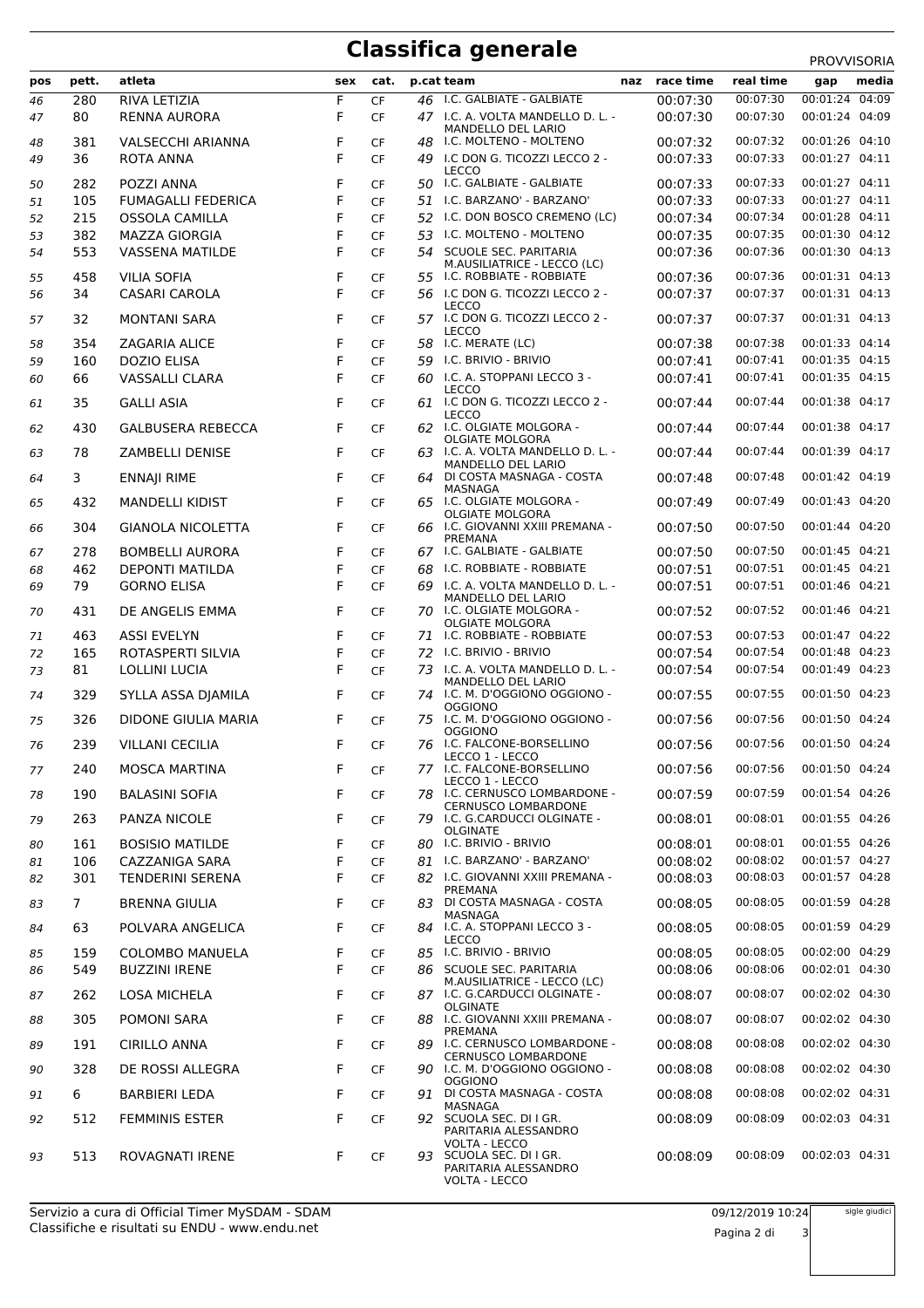## **Classifica generale** PROVVISORIA

|     |             |                           |     |           |    |                                                                  |               |           | <b>FNUVVIJUNIA</b> |
|-----|-------------|---------------------------|-----|-----------|----|------------------------------------------------------------------|---------------|-----------|--------------------|
| pos | pett.       | atleta                    | sex | cat.      |    | p.cat team                                                       | naz race time | real time | media<br>gap       |
| 46  | 280         | RIVA LETIZIA              | F   | <b>CF</b> |    | 46 I.C. GALBIATE - GALBIATE                                      | 00:07:30      | 00:07:30  | 00:01:24 04:09     |
| 47  | 80          | RENNA AURORA              | F   | <b>CF</b> |    | 47 I.C. A. VOLTA MANDELLO D. L. -                                | 00:07:30      | 00:07:30  | 00:01:24 04:09     |
| 48  | 381         | <b>VALSECCHI ARIANNA</b>  | F   | <b>CF</b> |    | MANDELLO DEL LARIO<br>48 I.C. MOLTENO - MOLTENO                  | 00:07:32      | 00:07:32  | 00:01:26 04:10     |
| 49  | 36          | ROTA ANNA                 | F   | <b>CF</b> |    | 49 I.C DON G. TICOZZI LECCO 2 -                                  | 00:07:33      | 00:07:33  | 00:01:27 04:11     |
|     |             |                           |     |           |    | <b>LECCO</b>                                                     |               |           |                    |
| 50  | 282         | POZZI ANNA                | F   | <b>CF</b> |    | 50 I.C. GALBIATE - GALBIATE                                      | 00:07:33      | 00:07:33  | 00:01:27 04:11     |
| 51  | 105         | <b>FUMAGALLI FEDERICA</b> | F   | <b>CF</b> |    | 51 I.C. BARZANO' - BARZANO'                                      | 00:07:33      | 00:07:33  | 00:01:27 04:11     |
| 52  | 215         | <b>OSSOLA CAMILLA</b>     | F   | <b>CF</b> | 52 | I.C. DON BOSCO CREMENO (LC)                                      | 00:07:34      | 00:07:34  | 00:01:28 04:11     |
| 53  | 382         | <b>MAZZA GIORGIA</b>      | F   | <b>CF</b> |    | 53 I.C. MOLTENO - MOLTENO                                        | 00:07:35      | 00:07:35  | 00:01:30 04:12     |
| 54  | 553         | <b>VASSENA MATILDE</b>    | F   | <b>CF</b> |    | 54 SCUOLE SEC. PARITARIA<br>M.AUSILIATRICE - LECCO (LC)          | 00:07:36      | 00:07:36  | 00:01:30 04:13     |
| 55  | 458         | <b>VILIA SOFIA</b>        | F   | <b>CF</b> |    | 55 I.C. ROBBIATE - ROBBIATE                                      | 00:07:36      | 00:07:36  | 00:01:31 04:13     |
| 56  | 34          | CASARI CAROLA             | F   | <b>CF</b> |    | 56 I.C DON G. TICOZZI LECCO 2 -                                  | 00:07:37      | 00:07:37  | 00:01:31 04:13     |
|     |             |                           |     |           |    | <b>LECCO</b>                                                     |               |           |                    |
| 57  | 32          | <b>MONTANI SARA</b>       | F   | <b>CF</b> |    | 57 I.C DON G. TICOZZI LECCO 2 -<br><b>LECCO</b>                  | 00:07:37      | 00:07:37  | 00:01:31 04:13     |
| 58  | 354         | <b>ZAGARIA ALICE</b>      | F   | <b>CF</b> |    | 58 I.C. MERATE (LC)                                              | 00:07:38      | 00:07:38  | 00:01:33 04:14     |
| 59  | 160         | <b>DOZIO ELISA</b>        | F   | <b>CF</b> |    | 59 I.C. BRIVIO - BRIVIO                                          | 00:07:41      | 00:07:41  | 00:01:35 04:15     |
| 60  | 66          | VASSALLI CLARA            | F   | <b>CF</b> |    | 60 I.C. A. STOPPANI LECCO 3 -                                    | 00:07:41      | 00:07:41  | 00:01:35 04:15     |
|     | 35          | <b>GALLI ASIA</b>         | F   | <b>CF</b> |    | <b>LECCO</b><br>61 I.C DON G. TICOZZI LECCO 2 -                  | 00:07:44      | 00:07:44  | 00:01:38 04:17     |
| 61  |             |                           |     |           |    | LECCO                                                            |               |           |                    |
| 62  | 430         | <b>GALBUSERA REBECCA</b>  | F   | <b>CF</b> |    | 62 I.C. OLGIATE MOLGORA -                                        | 00:07:44      | 00:07:44  | 00:01:38 04:17     |
| 63  | 78          | ZAMBELLI DENISE           | F   | <b>CF</b> |    | <b>OLGIATE MOLGORA</b><br>63 I.C. A. VOLTA MANDELLO D. L. -      | 00:07:44      | 00:07:44  | 00:01:39 04:17     |
|     |             |                           |     |           |    | MANDELLO DEL LARIO                                               |               |           |                    |
| 64  | 3           | <b>ENNAJI RIME</b>        | F   | <b>CF</b> |    | 64 DI COSTA MASNAGA - COSTA<br>MASNAGA                           | 00:07:48      | 00:07:48  | 00:01:42 04:19     |
| 65  | 432         | <b>MANDELLI KIDIST</b>    | F   | <b>CF</b> |    | 65 I.C. OLGIATE MOLGORA -                                        | 00:07:49      | 00:07:49  | 00:01:43 04:20     |
|     |             |                           |     |           |    | <b>OLGIATE MOLGORA</b>                                           |               |           |                    |
| 66  | 304         | <b>GIANOLA NICOLETTA</b>  | F   | <b>CF</b> |    | 66 I.C. GIOVANNI XXIII PREMANA -<br>PREMANA                      | 00:07:50      | 00:07:50  | 00:01:44 04:20     |
| 67  | 278         | <b>BOMBELLI AURORA</b>    | F   | CF        |    | 67 I.C. GALBIATE - GALBIATE                                      | 00:07:50      | 00:07:50  | 00:01:45 04:21     |
| 68  | 462         | <b>DEPONTI MATILDA</b>    | F   | <b>CF</b> |    | 68 I.C. ROBBIATE - ROBBIATE                                      | 00:07:51      | 00:07:51  | 00:01:45 04:21     |
| 69  | 79          | <b>GORNO ELISA</b>        | F   | <b>CF</b> |    | 69 I.C. A. VOLTA MANDELLO D. L. -                                | 00:07:51      | 00:07:51  | 00:01:46 04:21     |
|     |             |                           |     |           |    | MANDELLO DEL LARIO                                               |               |           |                    |
| 70  | 431         | DE ANGELIS EMMA           | F   | <b>CF</b> |    | 70 I.C. OLGIATE MOLGORA -<br><b>OLGIATE MOLGORA</b>              | 00:07:52      | 00:07:52  | 00:01:46 04:21     |
| 71  | 463         | <b>ASSI EVELYN</b>        | F   | <b>CF</b> |    | 71 I.C. ROBBIATE - ROBBIATE                                      | 00:07:53      | 00:07:53  | 00:01:47 04:22     |
| 72  | 165         | ROTASPERTI SILVIA         | F   | <b>CF</b> |    | 72 I.C. BRIVIO - BRIVIO                                          | 00:07:54      | 00:07:54  | 00:01:48 04:23     |
| 73  | 81          | <b>LOLLINI LUCIA</b>      | F   | <b>CF</b> |    | 73 I.C. A. VOLTA MANDELLO D. L. -                                | 00:07:54      | 00:07:54  | 00:01:49 04:23     |
| 74  | 329         | SYLLA ASSA DJAMILA        | F   | <b>CF</b> |    | <b>MANDELLO DEL LARIO</b><br>74 I.C. M. D'OGGIONO OGGIONO -      | 00:07:55      | 00:07:55  | 00:01:50 04:23     |
|     |             |                           |     |           |    | <b>OGGIONO</b>                                                   |               |           |                    |
| 75  | 326         | DIDONE GIULIA MARIA       | F   | CF        |    | 75 I.C. M. D'OGGIONO OGGIONO -<br><b>OGGIONO</b>                 | 00:07:56      | 00:07:56  | 00:01:50 04:24     |
| 76  | 239         | <b>VILLANI CECILIA</b>    | F   | <b>CF</b> |    | 76 I.C. FALCONE-BORSELLINO                                       | 00:07:56      | 00:07:56  | 00:01:50 04:24     |
|     |             |                           |     |           |    | LECCO 1 - LECCO                                                  |               |           |                    |
| 77  | 240         | <b>MOSCA MARTINA</b>      | F   | CF        |    | 77 I.C. FALCONE-BORSELLINO<br>LECCO 1 - LECCO                    | 00:07:56      | 00:07:56  | 00:01:50 04:24     |
| 78  | 190         | <b>BALASINI SOFIA</b>     | F   | CF        |    | 78 I.C. CERNUSCO LOMBARDONE -                                    | 00:07:59      | 00:07:59  | 00:01:54 04:26     |
|     |             |                           |     |           |    | <b>CERNUSCO LOMBARDONE</b>                                       |               |           |                    |
| 79  | 263         | PANZA NICOLE              | F   | <b>CF</b> |    | 79 I.C. G.CARDUCCI OLGINATE -<br><b>OLGINATE</b>                 | 00:08:01      | 00:08:01  | 00:01:55 04:26     |
| 80  | 161         | <b>BOSISIO MATILDE</b>    | F   | CF        |    | 80 I.C. BRIVIO - BRIVIO                                          | 00:08:01      | 00:08:01  | 00:01:55 04:26     |
| 81  | 106         | CAZZANIGA SARA            | F   | <b>CF</b> | 81 | I.C. BARZANO' - BARZANO'                                         | 00:08:02      | 00:08:02  | 00:01:57 04:27     |
| 82  | 301         | <b>TENDERINI SERENA</b>   | F   | <b>CF</b> |    | 82 I.C. GIOVANNI XXIII PREMANA -                                 | 00:08:03      | 00:08:03  | 00:01:57 04:28     |
| 83  | $7^{\circ}$ | <b>BRENNA GIULIA</b>      | F   | <b>CF</b> |    | PREMANA<br>83 DI COSTA MASNAGA - COSTA                           | 00:08:05      | 00:08:05  | 00:01:59 04:28     |
|     |             |                           |     |           |    | MASNAGA                                                          |               |           |                    |
| 84  | 63          | POLVARA ANGELICA          | F   | CF        |    | 84 I.C. A. STOPPANI LECCO 3 -                                    | 00:08:05      | 00:08:05  | 00:01:59 04:29     |
| 85  | 159         | <b>COLOMBO MANUELA</b>    | F   | CF        |    | <b>LECCO</b><br>85 I.C. BRIVIO - BRIVIO                          | 00:08:05      | 00:08:05  | 00:02:00 04:29     |
| 86  | 549         | <b>BUZZINI IRENE</b>      | F   | CF        |    | 86 SCUOLE SEC. PARITARIA                                         | 00:08:06      | 00:08:06  | 00:02:01 04:30     |
|     |             |                           |     |           |    | M.AUSILIATRICE - LECCO (LC)                                      |               |           |                    |
| 87  | 262         | <b>LOSA MICHELA</b>       | F   | CF        |    | 87 I.C. G.CARDUCCI OLGINATE -<br><b>OLGINATE</b>                 | 00:08:07      | 00:08:07  | 00:02:02 04:30     |
| 88  | 305         | POMONI SARA               | F   | <b>CF</b> |    | 88 I.C. GIOVANNI XXIII PREMANA -                                 | 00:08:07      | 00:08:07  | 00:02:02 04:30     |
|     |             |                           |     |           |    | PREMANA                                                          |               |           |                    |
| 89  | 191         | <b>CIRILLO ANNA</b>       | F   | CF        |    | 89 I.C. CERNUSCO LOMBARDONE -<br><b>CERNUSCO LOMBARDONE</b>      | 00:08:08      | 00:08:08  | 00:02:02 04:30     |
| 90  | 328         | DE ROSSI ALLEGRA          | F   | CF        |    | 90 I.C. M. D'OGGIONO OGGIONO -                                   | 00:08:08      | 00:08:08  | 00:02:02 04:30     |
| 91  | 6           | <b>BARBIERI LEDA</b>      | F   | <b>CF</b> |    | <b>OGGIONO</b><br>91 DI COSTA MASNAGA - COSTA                    | 00:08:08      | 00:08:08  | 00:02:02 04:31     |
|     |             |                           |     |           |    | MASNAGA                                                          |               |           |                    |
| 92  | 512         | <b>FEMMINIS ESTER</b>     | F   | CF        |    | 92 SCUOLA SEC. DI I GR.                                          | 00:08:09      | 00:08:09  | 00:02:03 04:31     |
|     |             |                           |     |           |    | PARITARIA ALESSANDRO<br><b>VOLTA - LECCO</b>                     |               |           |                    |
| 93  | 513         | ROVAGNATI IRENE           | F   | CF        |    | 93 SCUOLA SEC. DI I GR.<br>PARITARIA ALESSANDRO<br>VOLTA - LECCO | 00:08:09      | 00:08:09  | 00:02:03 04:31     |

sigle giudici